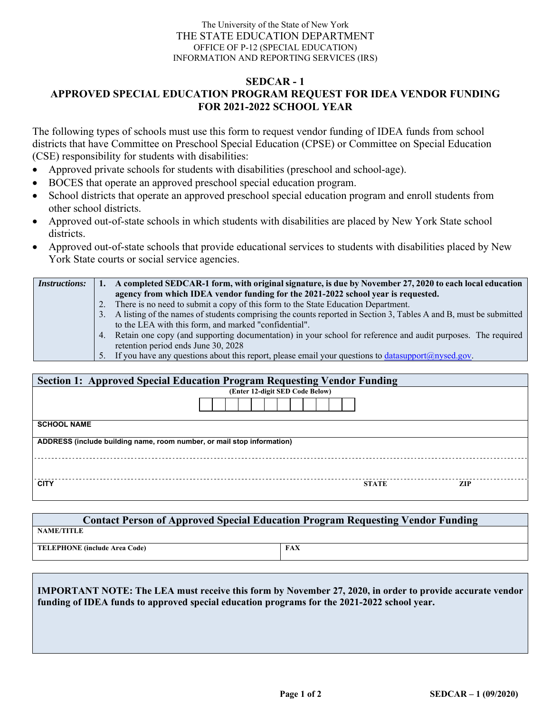## The University of the State of New York THE STATE EDUCATION DEPARTMENT OFFICE OF P-12 (SPECIAL EDUCATION) INFORMATION AND REPORTING SERVICES (IRS)

## **SEDCAR - 1**

## **APPROVED SPECIAL EDUCATION PROGRAM REQUEST FOR IDEA VENDOR FUNDING FOR 2021-2022 SCHOOL YEAR**

The following types of schools must use this form to request vendor funding of IDEA funds from school districts that have Committee on Preschool Special Education (CPSE) or Committee on Special Education (CSE) responsibility for students with disabilities:

- Approved private schools for students with disabilities (preschool and school-age).
- BOCES that operate an approved preschool special education program.
- School districts that operate an approved preschool special education program and enroll students from other school districts.
- Approved out-of-state schools in which students with disabilities are placed by New York State school districts.
- Approved out-of-state schools that provide educational services to students with disabilities placed by New York State courts or social service agencies.

| <i>Instructions:</i> | A completed SEDCAR-1 form, with original signature, is due by November 27, 2020 to each local education              |
|----------------------|----------------------------------------------------------------------------------------------------------------------|
|                      | agency from which IDEA vendor funding for the 2021-2022 school year is requested.                                    |
|                      | There is no need to submit a copy of this form to the State Education Department.                                    |
|                      | 3. A listing of the names of students comprising the counts reported in Section 3, Tables A and B, must be submitted |
|                      | to the LEA with this form, and marked "confidential".                                                                |
|                      | 4. Retain one copy (and supporting documentation) in your school for reference and audit purposes. The required      |
|                      | retention period ends June 30, 2028                                                                                  |
|                      | 5. If you have any questions about this report, please email your questions to $\frac{datasupport(@nysed.gov)}{%}$ . |

| <b>Section 1: Approved Special Education Program Requesting Vendor Funding</b> |                                 |              |            |  |  |  |
|--------------------------------------------------------------------------------|---------------------------------|--------------|------------|--|--|--|
|                                                                                | (Enter 12-digit SED Code Below) |              |            |  |  |  |
|                                                                                |                                 |              |            |  |  |  |
| <b>SCHOOL NAME</b>                                                             |                                 |              |            |  |  |  |
| ADDRESS (include building name, room number, or mail stop information)         |                                 |              |            |  |  |  |
|                                                                                |                                 |              |            |  |  |  |
| <b>CITY</b>                                                                    |                                 | <b>STATE</b> | <b>ZIP</b> |  |  |  |

| <b>Contact Person of Approved Special Education Program Requesting Vendor Funding</b> |            |  |  |  |  |  |
|---------------------------------------------------------------------------------------|------------|--|--|--|--|--|
| <b>NAME/TITLE</b>                                                                     |            |  |  |  |  |  |
| TELEPHONE (include Area Code)                                                         | <b>FAX</b> |  |  |  |  |  |

**IMPORTANT NOTE: The LEA must receive this form by November 27, 2020, in order to provide accurate vendor funding of IDEA funds to approved special education programs for the 2021-2022 school year.**